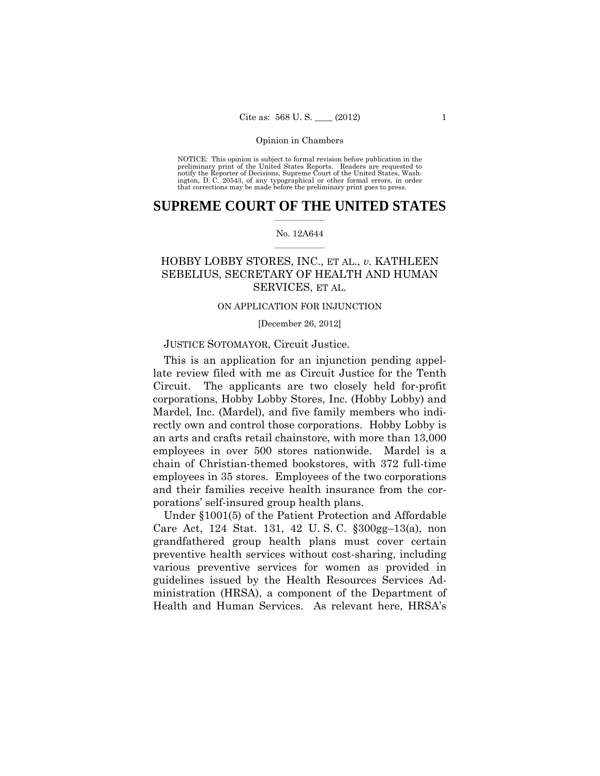### Opinion in Chambers

 preliminary print of the United States Reports. Readers are requested to notify the Reporter of Decisions, Supreme Court of the United States, Wash- ington, D. C. 20543, of any typographical or other formal errors, in order that corrections may be made before the preliminary print goes to press. NOTICE: This opinion is subject to formal revision before publication in the

### $\frac{1}{2}$  ,  $\frac{1}{2}$  ,  $\frac{1}{2}$  ,  $\frac{1}{2}$  ,  $\frac{1}{2}$  ,  $\frac{1}{2}$  ,  $\frac{1}{2}$ **SUPREME COURT OF THE UNITED STATES**

### $\frac{1}{2}$  ,  $\frac{1}{2}$  ,  $\frac{1}{2}$  ,  $\frac{1}{2}$  ,  $\frac{1}{2}$  ,  $\frac{1}{2}$ No. 12A644

# HOBBY LOBBY STORES, INC., ET AL., *v.* KATHLEEN SEBELIUS, SECRETARY OF HEALTH AND HUMAN SERVICES, ET AL.

## ON APPLICATION FOR INJUNCTION

[December 26, 2012]

# JUSTICE SOTOMAYOR, Circuit Justice.

This is an application for an injunction pending appellate review filed with me as Circuit Justice for the Tenth Circuit. The applicants are two closely held for-profit corporations, Hobby Lobby Stores, Inc. (Hobby Lobby) and Mardel, Inc. (Mardel), and five family members who indirectly own and control those corporations. Hobby Lobby is an arts and crafts retail chainstore, with more than 13,000 employees in over 500 stores nationwide. Mardel is a chain of Christian-themed bookstores, with 372 full-time employees in 35 stores. Employees of the two corporations and their families receive health insurance from the corporations' self-insured group health plans.

Under §1001(5) of the Patient Protection and Affordable Care Act, 124 Stat. 131, 42 U. S. C. §300gg–13(a), non grandfathered group health plans must cover certain preventive health services without cost-sharing, including various preventive services for women as provided in guidelines issued by the Health Resources Services Administration (HRSA), a component of the Department of Health and Human Services. As relevant here, HRSA's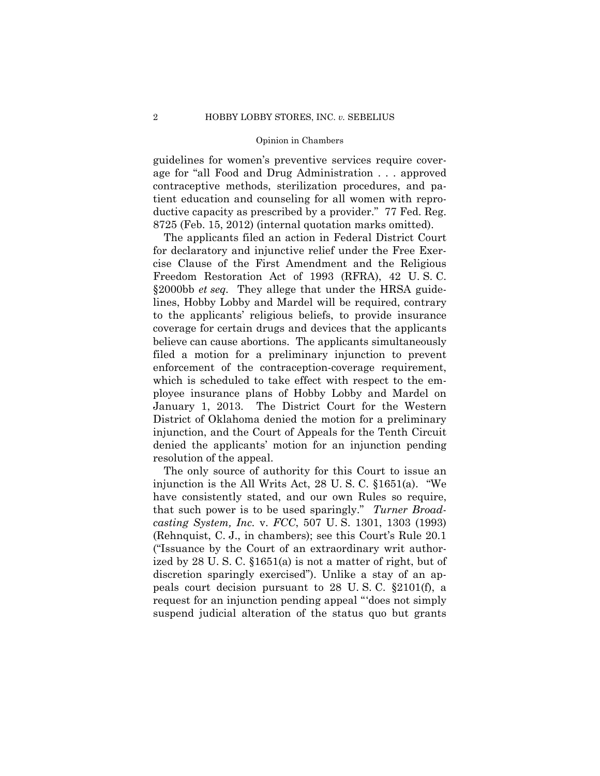### Opinion in Chambers

guidelines for women's preventive services require coverage for "all Food and Drug Administration . . . approved contraceptive methods, sterilization procedures, and patient education and counseling for all women with reproductive capacity as prescribed by a provider." 77 Fed. Reg. 8725 (Feb. 15, 2012) (internal quotation marks omitted).

The applicants filed an action in Federal District Court for declaratory and injunctive relief under the Free Exercise Clause of the First Amendment and the Religious Freedom Restoration Act of 1993 (RFRA), 42 U. S. C. §2000bb *et seq.* They allege that under the HRSA guidelines, Hobby Lobby and Mardel will be required, contrary to the applicants' religious beliefs, to provide insurance coverage for certain drugs and devices that the applicants believe can cause abortions. The applicants simultaneously filed a motion for a preliminary injunction to prevent enforcement of the contraception-coverage requirement, which is scheduled to take effect with respect to the employee insurance plans of Hobby Lobby and Mardel on January 1, 2013. The District Court for the Western District of Oklahoma denied the motion for a preliminary injunction, and the Court of Appeals for the Tenth Circuit denied the applicants' motion for an injunction pending resolution of the appeal.

The only source of authority for this Court to issue an injunction is the All Writs Act, 28 U. S. C. §1651(a). "We have consistently stated, and our own Rules so require, that such power is to be used sparingly." *Turner Broadcasting System, Inc.* v. *FCC*, 507 U. S. 1301, 1303 (1993) (Rehnquist, C. J., in chambers); see this Court's Rule 20.1 ("Issuance by the Court of an extraordinary writ authorized by 28 U. S. C. §1651(a) is not a matter of right, but of discretion sparingly exercised"). Unlike a stay of an appeals court decision pursuant to 28 U. S. C. §2101(f), a request for an injunction pending appeal "'does not simply suspend judicial alteration of the status quo but grants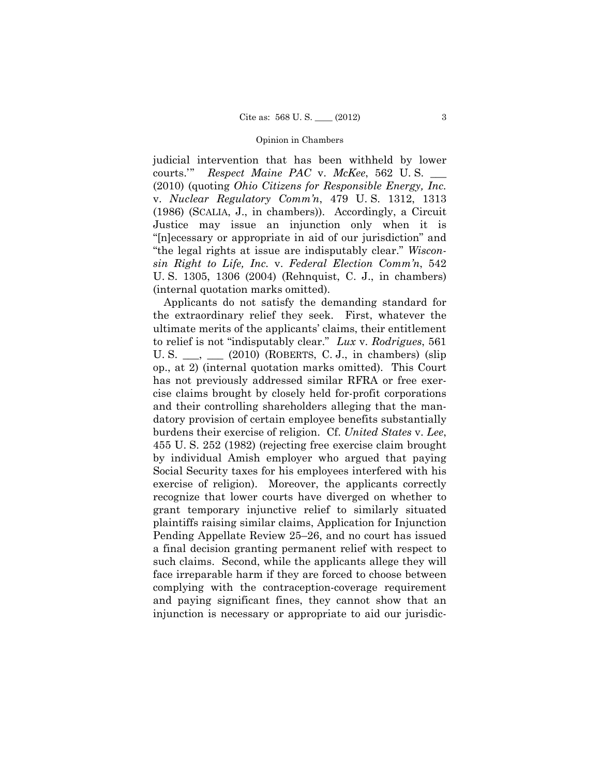### Opinion in Chambers

judicial intervention that has been withheld by lower courts.'" *Respect Maine PAC* v. *McKee*, 562 U. S. \_\_\_ (2010) (quoting *Ohio Citizens for Responsible Energy, Inc.*  v. *Nuclear Regulatory Comm'n*, 479 U. S. 1312, 1313 (1986) (SCALIA, J., in chambers)). Accordingly, a Circuit Justice may issue an injunction only when it is "[n]ecessary or appropriate in aid of our jurisdiction" and "the legal rights at issue are indisputably clear." *Wisconsin Right to Life, Inc.* v. *Federal Election Comm'n*, 542 U. S. 1305, 1306 (2004) (Rehnquist, C. J., in chambers) (internal quotation marks omitted).

 burdens their exercise of religion. Cf. *United States* v. *Lee*, Applicants do not satisfy the demanding standard for the extraordinary relief they seek. First, whatever the ultimate merits of the applicants' claims, their entitlement to relief is not "indisputably clear." *Lux* v. *Rodrigues*, 561 U. S.  $\_\_\_\$  $(2010)$  (ROBERTS, C. J., in chambers) (slip op., at 2) (internal quotation marks omitted). This Court has not previously addressed similar RFRA or free exercise claims brought by closely held for-profit corporations and their controlling shareholders alleging that the mandatory provision of certain employee benefits substantially 455 U. S. 252 (1982) (rejecting free exercise claim brought by individual Amish employer who argued that paying Social Security taxes for his employees interfered with his exercise of religion). Moreover, the applicants correctly recognize that lower courts have diverged on whether to grant temporary injunctive relief to similarly situated plaintiffs raising similar claims, Application for Injunction Pending Appellate Review 25–26, and no court has issued a final decision granting permanent relief with respect to such claims. Second, while the applicants allege they will face irreparable harm if they are forced to choose between complying with the contraception-coverage requirement and paying significant fines, they cannot show that an injunction is necessary or appropriate to aid our jurisdic-